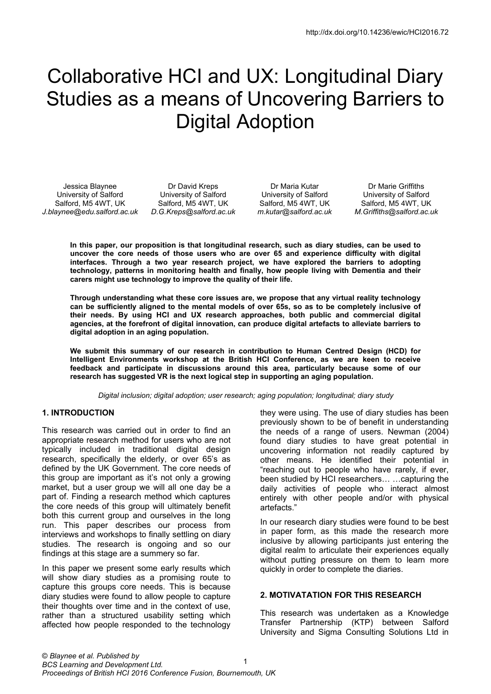# Collaborative HCI and UX: Longitudinal Diary Studies as a means of Uncovering Barriers to Digital Adoption

Jessica Blaynee University of Salford Salford, M5 4WT, UK *J.blaynee@edu.salford.ac.uk* 

Dr David Kreps University of Salford Salford, M5 4WT, UK *D.G.Kreps@salford.ac.uk* 

Dr Maria Kutar University of Salford Salford, M5 4WT, UK *m.kutar@salford.ac.uk* 

Dr Marie Griffiths University of Salford Salford, M5 4WT, UK *M.Griffiths@salford.ac.uk* 

**In this paper, our proposition is that longitudinal research, such as diary studies, can be used to uncover the core needs of those users who are over 65 and experience difficulty with digital interfaces. Through a two year research project, we have explored the barriers to adopting technology, patterns in monitoring health and finally, how people living with Dementia and their carers might use technology to improve the quality of their life.** 

**Through understanding what these core issues are, we propose that any virtual reality technology can be sufficiently aligned to the mental models of over 65s, so as to be completely inclusive of their needs. By using HCI and UX research approaches, both public and commercial digital agencies, at the forefront of digital innovation, can produce digital artefacts to alleviate barriers to digital adoption in an aging population.** 

**We submit this summary of our research in contribution to Human Centred Design (HCD) for Intelligent Environments workshop at the British HCI Conference, as we are keen to receive feedback and participate in discussions around this area, particularly because some of our research has suggested VR is the next logical step in supporting an aging population.** 

*Digital inclusion; digital adoption; user research; aging population; longitudinal; diary study* 

## **1. INTRODUCTION**

This research was carried out in order to find an appropriate research method for users who are not typically included in traditional digital design research, specifically the elderly, or over 65's as defined by the UK Government. The core needs of this group are important as it's not only a growing market, but a user group we will all one day be a part of. Finding a research method which captures the core needs of this group will ultimately benefit both this current group and ourselves in the long run. This paper describes our process from interviews and workshops to finally settling on diary studies. The research is ongoing and so our findings at this stage are a summery so far.

In this paper we present some early results which will show diary studies as a promising route to capture this groups core needs. This is because diary studies were found to allow people to capture their thoughts over time and in the context of use, rather than a structured usability setting which affected how people responded to the technology

they were using. The use of diary studies has been previously shown to be of benefit in understanding the needs of a range of users. Newman (2004) found diary studies to have great potential in uncovering information not readily captured by other means. He identified their potential in "reaching out to people who have rarely, if ever, been studied by HCI researchers… …capturing the daily activities of people who interact almost entirely with other people and/or with physical artefacts."

In our research diary studies were found to be best in paper form, as this made the research more inclusive by allowing participants just entering the digital realm to articulate their experiences equally without putting pressure on them to learn more quickly in order to complete the diaries.

#### **2. MOTIVATATION FOR THIS RESEARCH**

This research was undertaken as a Knowledge Transfer Partnership (KTP) between Salford University and Sigma Consulting Solutions Ltd in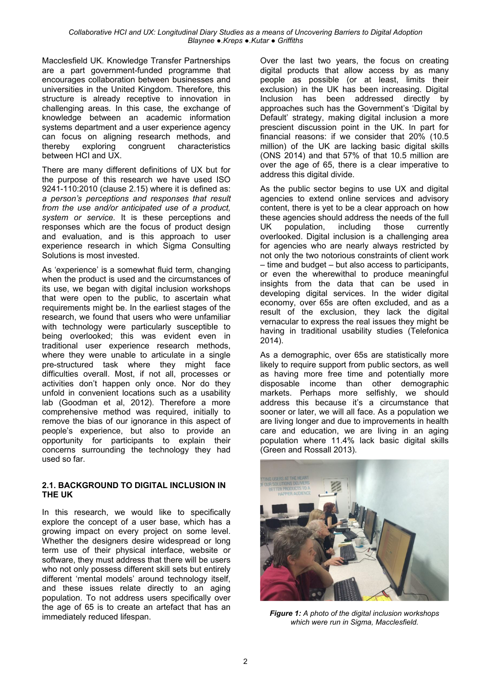Macclesfield UK. Knowledge Transfer Partnerships are a part government-funded programme that encourages collaboration between businesses and universities in the United Kingdom. Therefore, this structure is already receptive to innovation in challenging areas. In this case, the exchange of knowledge between an academic information systems department and a user experience agency can focus on aligning research methods, and thereby exploring congruent characteristics between HCI and UX.

There are many different definitions of UX but for the purpose of this research we have used ISO 9241-110:2010 (clause 2.15) where it is defined as: *a person's perceptions and responses that result from the use and/or anticipated use of a product, system or service*. It is these perceptions and responses which are the focus of product design and evaluation, and is this approach to user experience research in which Sigma Consulting Solutions is most invested.

As 'experience' is a somewhat fluid term, changing when the product is used and the circumstances of its use, we began with digital inclusion workshops that were open to the public, to ascertain what requirements might be. In the earliest stages of the research, we found that users who were unfamiliar with technology were particularly susceptible to being overlooked; this was evident even in traditional user experience research methods, where they were unable to articulate in a single pre-structured task where they might face difficulties overall. Most, if not all, processes or activities don't happen only once. Nor do they unfold in convenient locations such as a usability lab (Goodman et al, 2012). Therefore a more comprehensive method was required, initially to remove the bias of our ignorance in this aspect of people's experience, but also to provide an opportunity for participants to explain their concerns surrounding the technology they had used so far.

#### **2.1. BACKGROUND TO DIGITAL INCLUSION IN THE UK**

In this research, we would like to specifically explore the concept of a user base, which has a growing impact on every project on some level. Whether the designers desire widespread or long term use of their physical interface, website or software, they must address that there will be users who not only possess different skill sets but entirely different 'mental models' around technology itself, and these issues relate directly to an aging population. To not address users specifically over the age of 65 is to create an artefact that has an immediately reduced lifespan.

Over the last two years, the focus on creating digital products that allow access by as many people as possible (or at least, limits their exclusion) in the UK has been increasing. Digital Inclusion has been addressed directly by approaches such has the Government's 'Digital by Default' strategy, making digital inclusion a more prescient discussion point in the UK. In part for financial reasons: if we consider that 20% (10.5 million) of the UK are lacking basic digital skills (ONS 2014) and that 57% of that 10.5 million are over the age of 65, there is a clear imperative to address this digital divide.

As the public sector begins to use UX and digital agencies to extend online services and advisory content, there is yet to be a clear approach on how these agencies should address the needs of the full UK population, including those currently overlooked. Digital inclusion is a challenging area for agencies who are nearly always restricted by not only the two notorious constraints of client work – time and budget – but also access to participants, or even the wherewithal to produce meaningful insights from the data that can be used in developing digital services. In the wider digital economy, over 65s are often excluded, and as a result of the exclusion, they lack the digital vernacular to express the real issues they might be having in traditional usability studies (Telefonica 2014).

As a demographic, over 65s are statistically more likely to require support from public sectors, as well as having more free time and potentially more disposable income than other demographic markets. Perhaps more selfishly, we should address this because it's a circumstance that sooner or later, we will all face. As a population we are living longer and due to improvements in health care and education, we are living in an aging population where 11.4% lack basic digital skills (Green and Rossall 2013).



*Figure 1: A photo of the digital inclusion workshops which were run in Sigma, Macclesfield.*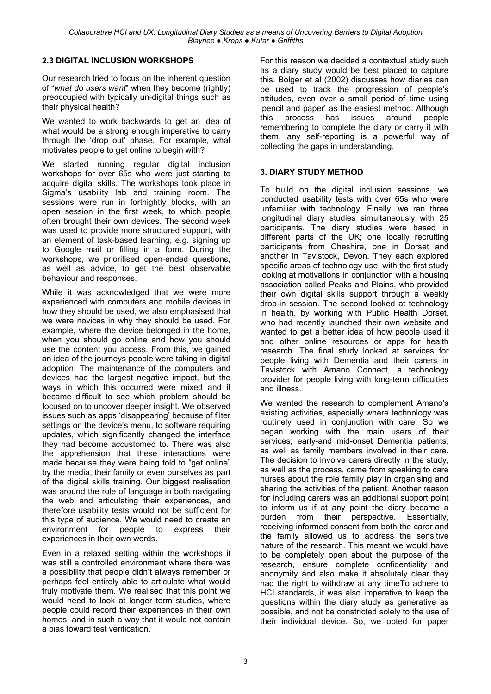# **2.3 DIGITAL INCLUSION WORKSHOPS**

Our research tried to focus on the inherent question of "*what do users want*" when they become (rightly) preoccupied with typically un-digital things such as their physical health?

We wanted to work backwards to get an idea of what would be a strong enough imperative to carry through the 'drop out' phase. For example, what motivates people to get online to begin with?

We started running regular digital inclusion workshops for over 65s who were just starting to acquire digital skills. The workshops took place in Sigma's usability lab and training room. The sessions were run in fortnightly blocks, with an open session in the first week, to which people often brought their own devices. The second week was used to provide more structured support, with an element of task-based learning, e.g. signing up to Google mail or filling in a form. During the workshops, we prioritised open-ended questions, as well as advice, to get the best observable behaviour and responses.

While it was acknowledged that we were more experienced with computers and mobile devices in how they should be used, we also emphasised that we were novices in why they should be used. For example, where the device belonged in the home, when you should go online and how you should use the content you access. From this, we gained an idea of the journeys people were taking in digital adoption. The maintenance of the computers and devices had the largest negative impact, but the ways in which this occurred were mixed and it became difficult to see which problem should be focused on to uncover deeper insight. We observed issues such as apps 'disappearing' because of filter settings on the device's menu, to software requiring updates, which significantly changed the interface they had become accustomed to. There was also the apprehension that these interactions were made because they were being told to "get online" by the media, their family or even ourselves as part of the digital skills training. Our biggest realisation was around the role of language in both navigating the web and articulating their experiences, and therefore usability tests would not be sufficient for this type of audience. We would need to create an environment for people to express their experiences in their own words.

Even in a relaxed setting within the workshops it was still a controlled environment where there was a possibility that people didn't always remember or perhaps feel entirely able to articulate what would truly motivate them. We realised that this point we would need to look at longer term studies, where people could record their experiences in their own homes, and in such a way that it would not contain a bias toward test verification.

For this reason we decided a contextual study such as a diary study would be best placed to capture this. Bolger et al (2002) discusses how diaries can be used to track the progression of people's attitudes, even over a small period of time using 'pencil and paper' as the easiest method. Although this process has issues around people remembering to complete the diary or carry it with them, any self-reporting is a powerful way of collecting the gaps in understanding.

### **3. DIARY STUDY METHOD**

To build on the digital inclusion sessions, we conducted usability tests with over 65s who were unfamiliar with technology. Finally, we ran three longitudinal diary studies simultaneously with 25 participants. The diary studies were based in different parts of the UK; one locally recruiting participants from Cheshire, one in Dorset and another in Tavistock, Devon. They each explored specific areas of technology use, with the first study looking at motivations in conjunction with a housing association called Peaks and Plains, who provided their own digital skills support through a weekly drop-in session. The second looked at technology in health, by working with Public Health Dorset, who had recently launched their own website and wanted to get a better idea of how people used it and other online resources or apps for health research. The final study looked at services for people living with Dementia and their carers in Tavistock with Amano Connect, a technology provider for people living with long-term difficulties and illness.

We wanted the research to complement Amano's existing activities, especially where technology was routinely used in conjunction with care. So we began working with the main users of their services; early-and mid-onset Dementia patients, as well as family members involved in their care. The decision to involve carers directly in the study, as well as the process, came from speaking to care nurses about the role family play in organising and sharing the activities of the patient. Another reason for including carers was an additional support point to inform us if at any point the diary became a burden from their perspective. Essentially, receiving informed consent from both the carer and the family allowed us to address the sensitive nature of the research. This meant we would have to be completely open about the purpose of the research, ensure complete confidentiality and anonymity and also make it absolutely clear they had the right to withdraw at any timeTo adhere to HCI standards, it was also imperative to keep the questions within the diary study as generative as possible, and not be constricted solely to the use of their individual device. So, we opted for paper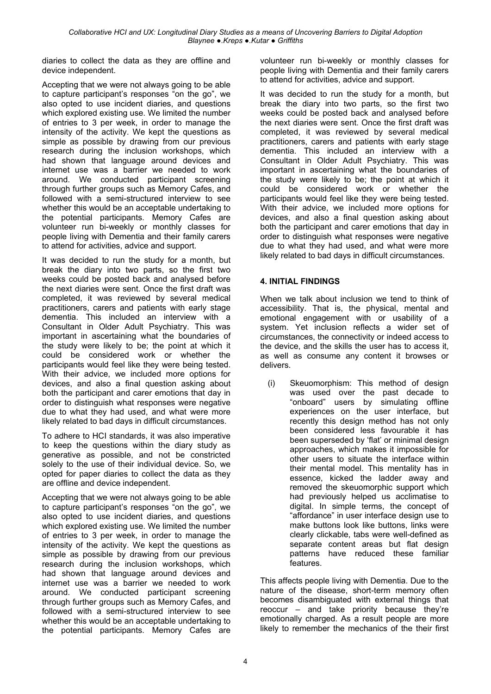diaries to collect the data as they are offline and device independent.

Accepting that we were not always going to be able to capture participant's responses "on the go", we also opted to use incident diaries, and questions which explored existing use. We limited the number of entries to 3 per week, in order to manage the intensity of the activity. We kept the questions as simple as possible by drawing from our previous research during the inclusion workshops, which had shown that language around devices and internet use was a barrier we needed to work around. We conducted participant screening through further groups such as Memory Cafes, and followed with a semi-structured interview to see whether this would be an acceptable undertaking to the potential participants. Memory Cafes are volunteer run bi-weekly or monthly classes for people living with Dementia and their family carers to attend for activities, advice and support.

It was decided to run the study for a month, but break the diary into two parts, so the first two weeks could be posted back and analysed before the next diaries were sent. Once the first draft was completed, it was reviewed by several medical practitioners, carers and patients with early stage dementia. This included an interview with a Consultant in Older Adult Psychiatry. This was important in ascertaining what the boundaries of the study were likely to be; the point at which it could be considered work or whether the participants would feel like they were being tested. With their advice, we included more options for devices, and also a final question asking about both the participant and carer emotions that day in order to distinguish what responses were negative due to what they had used, and what were more likely related to bad days in difficult circumstances.

To adhere to HCI standards, it was also imperative to keep the questions within the diary study as generative as possible, and not be constricted solely to the use of their individual device. So, we opted for paper diaries to collect the data as they are offline and device independent.

Accepting that we were not always going to be able to capture participant's responses "on the go", we also opted to use incident diaries, and questions which explored existing use. We limited the number of entries to 3 per week, in order to manage the intensity of the activity. We kept the questions as simple as possible by drawing from our previous research during the inclusion workshops, which had shown that language around devices and internet use was a barrier we needed to work around. We conducted participant screening through further groups such as Memory Cafes, and followed with a semi-structured interview to see whether this would be an acceptable undertaking to the potential participants. Memory Cafes are volunteer run bi-weekly or monthly classes for people living with Dementia and their family carers to attend for activities, advice and support.

It was decided to run the study for a month, but break the diary into two parts, so the first two weeks could be posted back and analysed before the next diaries were sent. Once the first draft was completed, it was reviewed by several medical practitioners, carers and patients with early stage dementia. This included an interview with a Consultant in Older Adult Psychiatry. This was important in ascertaining what the boundaries of the study were likely to be; the point at which it could be considered work or whether the participants would feel like they were being tested. With their advice, we included more options for devices, and also a final question asking about both the participant and carer emotions that day in order to distinguish what responses were negative due to what they had used, and what were more likely related to bad days in difficult circumstances.

# **4. INITIAL FINDINGS**

When we talk about inclusion we tend to think of accessibility. That is, the physical, mental and emotional engagement with or usability of a system. Yet inclusion reflects a wider set of circumstances, the connectivity or indeed access to the device, and the skills the user has to access it, as well as consume any content it browses or delivers.

(i) Skeuomorphism: This method of design was used over the past decade to "onboard" users by simulating offline experiences on the user interface, but recently this design method has not only been considered less favourable it has been superseded by 'flat' or minimal design approaches, which makes it impossible for other users to situate the interface within their mental model. This mentality has in essence, kicked the ladder away and removed the skeuomorphic support which had previously helped us acclimatise to digital. In simple terms, the concept of "affordance" in user interface design use to make buttons look like buttons, links were clearly clickable, tabs were well-defined as separate content areas but flat design patterns have reduced these familiar features.

This affects people living with Dementia. Due to the nature of the disease, short-term memory often becomes disambiguated with external things that reoccur – and take priority because they're emotionally charged. As a result people are more likely to remember the mechanics of the their first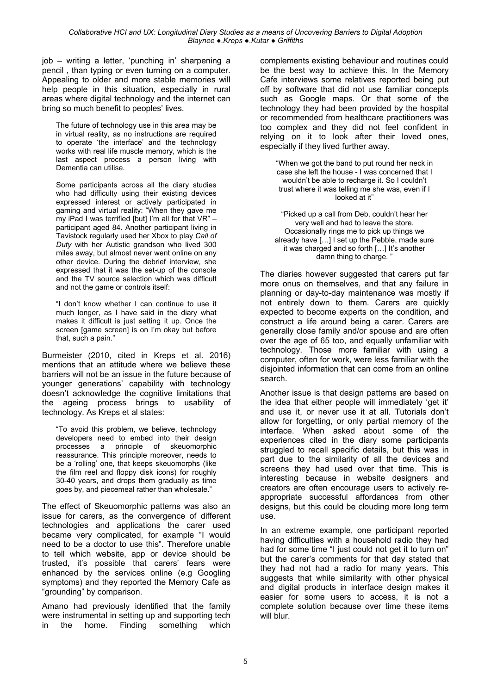job – writing a letter, 'punching in' sharpening a pencil , than typing or even turning on a computer. Appealing to older and more stable memories will help people in this situation, especially in rural areas where digital technology and the internet can bring so much benefit to peoples' lives.

The future of technology use in this area may be in virtual reality, as no instructions are required to operate 'the interface' and the technology works with real life muscle memory, which is the last aspect process a person living with Dementia can utilise.

Some participants across all the diary studies who had difficulty using their existing devices expressed interest or actively participated in gaming and virtual reality: "When they gave me my iPad I was terrified [but] I'm all for that VR" – participant aged 84. Another participant living in Tavistock regularly used her Xbox to play *Call of Duty* with her Autistic grandson who lived 300 miles away, but almost never went online on any other device. During the debrief interview, she expressed that it was the set-up of the console and the TV source selection which was difficult and not the game or controls itself:

"I don't know whether I can continue to use it much longer, as I have said in the diary what makes it difficult is just setting it up. Once the screen [game screen] is on I'm okay but before that, such a pain."

Burmeister (2010, cited in Kreps et al. 2016) mentions that an attitude where we believe these barriers will not be an issue in the future because of younger generations' capability with technology doesn't acknowledge the cognitive limitations that the ageing process brings to usability of technology. As Kreps et al states:

"To avoid this problem, we believe, technology developers need to embed into their design processes a principle of skeuomorphic reassurance. This principle moreover, needs to be a 'rolling' one, that keeps skeuomorphs (like the film reel and floppy disk icons) for roughly 30-40 years, and drops them gradually as time goes by, and piecemeal rather than wholesale."

The effect of Skeuomorphic patterns was also an issue for carers, as the convergence of different technologies and applications the carer used became very complicated, for example "I would need to be a doctor to use this". Therefore unable to tell which website, app or device should be trusted, it's possible that carers' fears were enhanced by the services online (e.g Googling symptoms) and they reported the Memory Cafe as "grounding" by comparison.

Amano had previously identified that the family were instrumental in setting up and supporting tech in the home. Finding something which complements existing behaviour and routines could be the best way to achieve this. In the Memory Cafe interviews some relatives reported being put off by software that did not use familiar concepts such as Google maps. Or that some of the technology they had been provided by the hospital or recommended from healthcare practitioners was too complex and they did not feel confident in relying on it to look after their loved ones, especially if they lived further away.

"When we got the band to put round her neck in case she left the house - I was concerned that I wouldn't be able to recharge it. So I couldn't trust where it was telling me she was, even if I looked at it"

"Picked up a call from Deb, couldn't hear her very well and had to leave the store. Occasionally rings me to pick up things we already have […] I set up the Pebble, made sure it was charged and so forth […] It's another damn thing to charge.'

The diaries however suggested that carers put far more onus on themselves, and that any failure in planning or day-to-day maintenance was mostly if not entirely down to them. Carers are quickly expected to become experts on the condition, and construct a life around being a carer. Carers are generally close family and/or spouse and are often over the age of 65 too, and equally unfamiliar with technology. Those more familiar with using a computer, often for work, were less familiar with the disjointed information that can come from an online search.

Another issue is that design patterns are based on the idea that either people will immediately 'get it' and use it, or never use it at all. Tutorials don't allow for forgetting, or only partial memory of the interface. When asked about some of the experiences cited in the diary some participants struggled to recall specific details, but this was in part due to the similarity of all the devices and screens they had used over that time. This is interesting because in website designers and creators are often encourage users to actively reappropriate successful affordances from other designs, but this could be clouding more long term use.

In an extreme example, one participant reported having difficulties with a household radio they had had for some time "I just could not get it to turn on" but the carer's comments for that day stated that they had not had a radio for many years. This suggests that while similarity with other physical and digital products in interface design makes it easier for some users to access, it is not a complete solution because over time these items will blur.